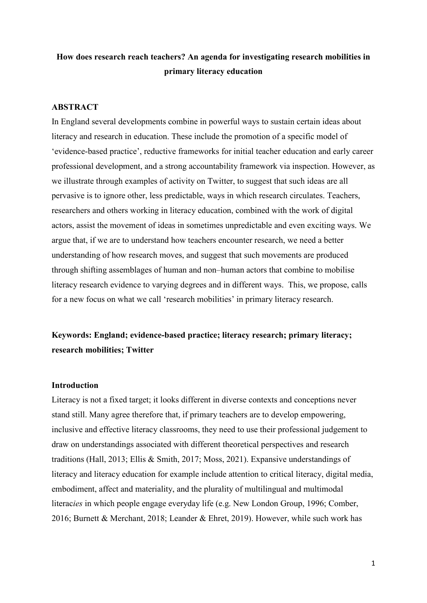# **How does research reach teachers? An agenda for investigating research mobilities in primary literacy education**

## **ABSTRACT**

In England several developments combine in powerful ways to sustain certain ideas about literacy and research in education. These include the promotion of a specific model of 'evidence-based practice', reductive frameworks for initial teacher education and early career professional development, and a strong accountability framework via inspection. However, as we illustrate through examples of activity on Twitter, to suggest that such ideas are all pervasive is to ignore other, less predictable, ways in which research circulates. Teachers, researchers and others working in literacy education, combined with the work of digital actors, assist the movement of ideas in sometimes unpredictable and even exciting ways. We argue that, if we are to understand how teachers encounter research, we need a better understanding of how research moves, and suggest that such movements are produced through shifting assemblages of human and non–human actors that combine to mobilise literacy research evidence to varying degrees and in different ways. This, we propose, calls for a new focus on what we call 'research mobilities' in primary literacy research.

# **Keywords: England; evidence-based practice; literacy research; primary literacy; research mobilities; Twitter**

### **Introduction**

Literacy is not a fixed target; it looks different in diverse contexts and conceptions never stand still. Many agree therefore that, if primary teachers are to develop empowering, inclusive and effective literacy classrooms, they need to use their professional judgement to draw on understandings associated with different theoretical perspectives and research traditions (Hall, 2013; Ellis & Smith, 2017; Moss, 2021). Expansive understandings of literacy and literacy education for example include attention to critical literacy, digital media, embodiment, affect and materiality, and the plurality of multilingual and multimodal literac*ies* in which people engage everyday life (e.g. New London Group, 1996; Comber, 2016; Burnett & Merchant, 2018; Leander & Ehret, 2019). However, while such work has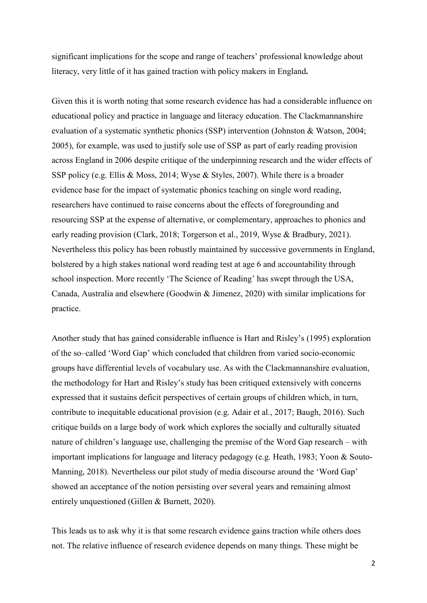significant implications for the scope and range of teachers' professional knowledge about literacy, very little of it has gained traction with policy makers in England**.** 

Given this it is worth noting that some research evidence has had a considerable influence on educational policy and practice in language and literacy education. The Clackmannanshire evaluation of a systematic synthetic phonics (SSP) intervention (Johnston & Watson, 2004; 2005), for example, was used to justify sole use of SSP as part of early reading provision across England in 2006 despite critique of the underpinning research and the wider effects of SSP policy (e.g. Ellis & Moss, 2014; Wyse & Styles, 2007). While there is a broader evidence base for the impact of systematic phonics teaching on single word reading, researchers have continued to raise concerns about the effects of foregrounding and resourcing SSP at the expense of alternative, or complementary, approaches to phonics and early reading provision (Clark, 2018; Torgerson et al., 2019, Wyse & Bradbury, 2021). Nevertheless this policy has been robustly maintained by successive governments in England, bolstered by a high stakes national word reading test at age 6 and accountability through school inspection. More recently 'The Science of Reading' has swept through the USA, Canada, Australia and elsewhere (Goodwin & Jimenez, 2020) with similar implications for practice.

Another study that has gained considerable influence is Hart and Risley's (1995) exploration of the so–called 'Word Gap' which concluded that children from varied socio-economic groups have differential levels of vocabulary use. As with the Clackmannanshire evaluation, the methodology for Hart and Risley's study has been critiqued extensively with concerns expressed that it sustains deficit perspectives of certain groups of children which, in turn, contribute to inequitable educational provision (e.g. Adair et al., 2017; Baugh, 2016). Such critique builds on a large body of work which explores the socially and culturally situated nature of children's language use, challenging the premise of the Word Gap research – with important implications for language and literacy pedagogy (e.g. Heath, 1983; Yoon & Souto-Manning, 2018). Nevertheless our pilot study of media discourse around the 'Word Gap' showed an acceptance of the notion persisting over several years and remaining almost entirely unquestioned (Gillen & Burnett, 2020).

This leads us to ask why it is that some research evidence gains traction while others does not. The relative influence of research evidence depends on many things. These might be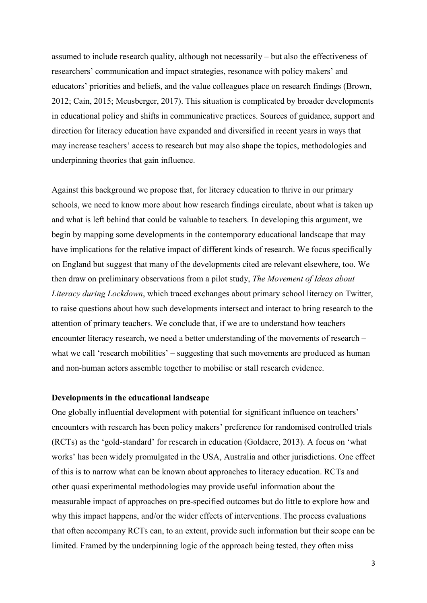assumed to include research quality, although not necessarily – but also the effectiveness of researchers' communication and impact strategies, resonance with policy makers' and educators' priorities and beliefs, and the value colleagues place on research findings (Brown, 2012; Cain, 2015; Meusberger, 2017). This situation is complicated by broader developments in educational policy and shifts in communicative practices. Sources of guidance, support and direction for literacy education have expanded and diversified in recent years in ways that may increase teachers' access to research but may also shape the topics, methodologies and underpinning theories that gain influence.

Against this background we propose that, for literacy education to thrive in our primary schools, we need to know more about how research findings circulate, about what is taken up and what is left behind that could be valuable to teachers. In developing this argument, we begin by mapping some developments in the contemporary educational landscape that may have implications for the relative impact of different kinds of research. We focus specifically on England but suggest that many of the developments cited are relevant elsewhere, too. We then draw on preliminary observations from a pilot study, *The Movement of Ideas about Literacy during Lockdown*, which traced exchanges about primary school literacy on Twitter, to raise questions about how such developments intersect and interact to bring research to the attention of primary teachers. We conclude that, if we are to understand how teachers encounter literacy research, we need a better understanding of the movements of research – what we call 'research mobilities' – suggesting that such movements are produced as human and non-human actors assemble together to mobilise or stall research evidence.

## **Developments in the educational landscape**

One globally influential development with potential for significant influence on teachers' encounters with research has been policy makers' preference for randomised controlled trials (RCTs) as the 'gold-standard' for research in education (Goldacre, 2013). A focus on 'what works' has been widely promulgated in the USA, Australia and other jurisdictions. One effect of this is to narrow what can be known about approaches to literacy education. RCTs and other quasi experimental methodologies may provide useful information about the measurable impact of approaches on pre-specified outcomes but do little to explore how and why this impact happens, and/or the wider effects of interventions. The process evaluations that often accompany RCTs can, to an extent, provide such information but their scope can be limited. Framed by the underpinning logic of the approach being tested, they often miss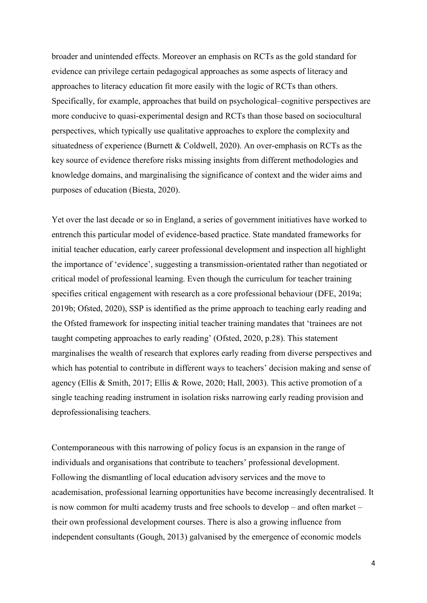broader and unintended effects. Moreover an emphasis on RCTs as the gold standard for evidence can privilege certain pedagogical approaches as some aspects of literacy and approaches to literacy education fit more easily with the logic of RCTs than others. Specifically, for example, approaches that build on psychological–cognitive perspectives are more conducive to quasi-experimental design and RCTs than those based on sociocultural perspectives, which typically use qualitative approaches to explore the complexity and situatedness of experience (Burnett & Coldwell, 2020). An over-emphasis on RCTs as the key source of evidence therefore risks missing insights from different methodologies and knowledge domains, and marginalising the significance of context and the wider aims and purposes of education (Biesta, 2020).

Yet over the last decade or so in England, a series of government initiatives have worked to entrench this particular model of evidence-based practice. State mandated frameworks for initial teacher education, early career professional development and inspection all highlight the importance of 'evidence', suggesting a transmission-orientated rather than negotiated or critical model of professional learning. Even though the curriculum for teacher training specifies critical engagement with research as a core professional behaviour (DFE, 2019a; 2019b; Ofsted, 2020), SSP is identified as the prime approach to teaching early reading and the Ofsted framework for inspecting initial teacher training mandates that 'trainees are not taught competing approaches to early reading' (Ofsted, 2020, p.28). This statement marginalises the wealth of research that explores early reading from diverse perspectives and which has potential to contribute in different ways to teachers' decision making and sense of agency (Ellis & Smith, 2017; Ellis & Rowe, 2020; Hall, 2003). This active promotion of a single teaching reading instrument in isolation risks narrowing early reading provision and deprofessionalising teachers.

Contemporaneous with this narrowing of policy focus is an expansion in the range of individuals and organisations that contribute to teachers' professional development. Following the dismantling of local education advisory services and the move to academisation, professional learning opportunities have become increasingly decentralised. It is now common for multi academy trusts and free schools to develop – and often market – their own professional development courses. There is also a growing influence from independent consultants (Gough, 2013) galvanised by the emergence of economic models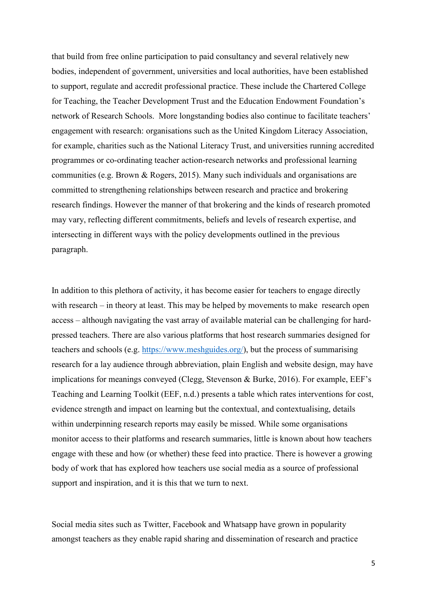that build from free online participation to paid consultancy and several relatively new bodies, independent of government, universities and local authorities, have been established to support, regulate and accredit professional practice. These include the Chartered College for Teaching, the Teacher Development Trust and the Education Endowment Foundation's network of Research Schools. More longstanding bodies also continue to facilitate teachers' engagement with research: organisations such as the United Kingdom Literacy Association, for example, charities such as the National Literacy Trust, and universities running accredited programmes or co-ordinating teacher action-research networks and professional learning communities (e.g. Brown & Rogers, 2015). Many such individuals and organisations are committed to strengthening relationships between research and practice and brokering research findings. However the manner of that brokering and the kinds of research promoted may vary, reflecting different commitments, beliefs and levels of research expertise, and intersecting in different ways with the policy developments outlined in the previous paragraph.

In addition to this plethora of activity, it has become easier for teachers to engage directly with research – in theory at least. This may be helped by movements to make research open access – although navigating the vast array of available material can be challenging for hardpressed teachers. There are also various platforms that host research summaries designed for teachers and schools (e.g. [https://www.meshguides.org/\)](https://www.meshguides.org/), but the process of summarising research for a lay audience through abbreviation, plain English and website design, may have implications for meanings conveyed (Clegg, Stevenson & Burke, 2016). For example, EEF's Teaching and Learning Toolkit (EEF, n.d.) presents a table which rates interventions for cost, evidence strength and impact on learning but the contextual, and contextualising, details within underpinning research reports may easily be missed. While some organisations monitor access to their platforms and research summaries, little is known about how teachers engage with these and how (or whether) these feed into practice. There is however a growing body of work that has explored how teachers use social media as a source of professional support and inspiration, and it is this that we turn to next.

Social media sites such as Twitter, Facebook and Whatsapp have grown in popularity amongst teachers as they enable rapid sharing and dissemination of research and practice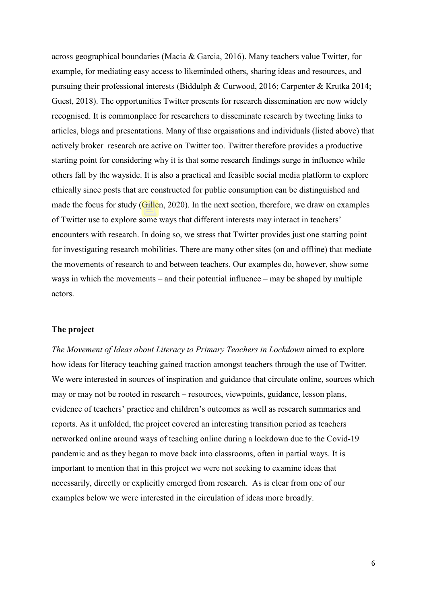across geographical boundaries (Macia & Garcia, 2016). Many teachers value Twitter, for example, for mediating easy access to likeminded others, sharing ideas and resources, and pursuing their professional interests (Biddulph & Curwood, 2016; Carpenter & Krutka 2014; Guest, 2018). The opportunities Twitter presents for research dissemination are now widely recognised. It is commonplace for researchers to disseminate research by tweeting links to articles, blogs and presentations. Many of thse orgaisations and individuals (listed above) that actively broker research are active on Twitter too. Twitter therefore provides a productive starting point for considering why it is that some research findings surge in influence while others fall by the wayside. It is also a practical and feasible social media platform to explore ethically since posts that are constructed for public consumption can be distinguished and made the focus for study (Gillen, 2020). In the next section, therefore, we draw on examples of Twitter use to explore some ways that different interests may interact in teachers' encounters with research. In doing so, we stress that Twitter provides just one starting point for investigating research mobilities. There are many other sites (on and offline) that mediate the movements of research to and between teachers. Our examples do, however, show some ways in which the movements – and their potential influence – may be shaped by multiple actors.

## **The project**

*The Movement of Ideas about Literacy to Primary Teachers in Lockdown* aimed to explore how ideas for literacy teaching gained traction amongst teachers through the use of Twitter. We were interested in sources of inspiration and guidance that circulate online, sources which may or may not be rooted in research – resources, viewpoints, guidance, lesson plans, evidence of teachers' practice and children's outcomes as well as research summaries and reports. As it unfolded, the project covered an interesting transition period as teachers networked online around ways of teaching online during a lockdown due to the Covid-19 pandemic and as they began to move back into classrooms, often in partial ways. It is important to mention that in this project we were not seeking to examine ideas that necessarily, directly or explicitly emerged from research. As is clear from one of our examples below we were interested in the circulation of ideas more broadly.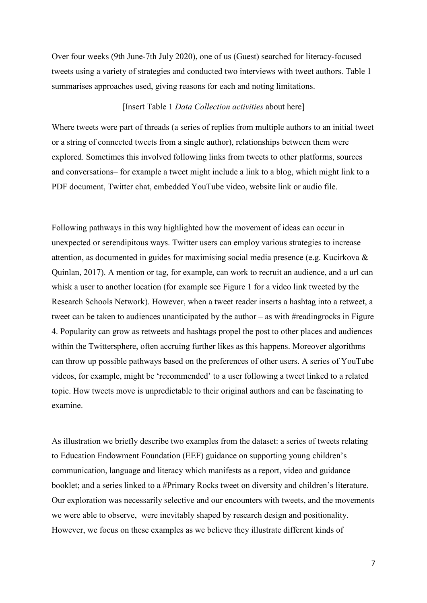Over four weeks (9th June-7th July 2020), one of us (Guest) searched for literacy-focused tweets using a variety of strategies and conducted two interviews with tweet authors. Table 1 summarises approaches used, giving reasons for each and noting limitations.

## [Insert Table 1 *Data Collection activities* about here]

Where tweets were part of threads (a series of replies from multiple authors to an initial tweet or a string of connected tweets from a single author), relationships between them were explored. Sometimes this involved following links from tweets to other platforms, sources and conversations– for example a tweet might include a link to a blog, which might link to a PDF document, Twitter chat, embedded YouTube video, website link or audio file.

Following pathways in this way highlighted how the movement of ideas can occur in unexpected or serendipitous ways. Twitter users can employ various strategies to increase attention, as documented in guides for maximising social media presence (e.g. Kucirkova & Quinlan, 2017). A mention or tag, for example, can work to recruit an audience, and a url can whisk a user to another location (for example see Figure 1 for a video link tweeted by the Research Schools Network). However, when a tweet reader inserts a hashtag into a retweet, a tweet can be taken to audiences unanticipated by the author – as with #readingrocks in Figure 4. Popularity can grow as retweets and hashtags propel the post to other places and audiences within the Twittersphere, often accruing further likes as this happens. Moreover algorithms can throw up possible pathways based on the preferences of other users. A series of YouTube videos, for example, might be 'recommended' to a user following a tweet linked to a related topic. How tweets move is unpredictable to their original authors and can be fascinating to examine.

As illustration we briefly describe two examples from the dataset: a series of tweets relating to Education Endowment Foundation (EEF) guidance on supporting young children's communication, language and literacy which manifests as a report, video and guidance booklet; and a series linked to a #Primary Rocks tweet on diversity and children's literature. Our exploration was necessarily selective and our encounters with tweets, and the movements we were able to observe, were inevitably shaped by research design and positionality. However, we focus on these examples as we believe they illustrate different kinds of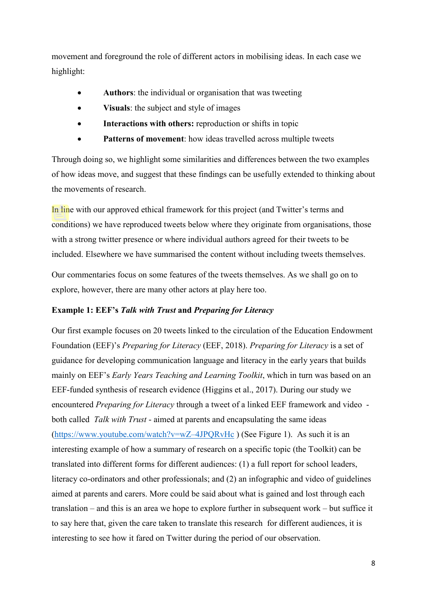movement and foreground the role of different actors in mobilising ideas. In each case we highlight:

- **Authors**: the individual or organisation that was tweeting
- **Visuals**: the subject and style of images
- **Interactions with others:** reproduction or shifts in topic
- Patterns of movement: how ideas travelled across multiple tweets

Through doing so, we highlight some similarities and differences between the two examples of how ideas move, and suggest that these findings can be usefully extended to thinking about the movements of research.

In line with our approved ethical framework for this project (and Twitter's terms and conditions) we have reproduced tweets below where they originate from organisations, those with a strong twitter presence or where individual authors agreed for their tweets to be included. Elsewhere we have summarised the content without including tweets themselves.

Our commentaries focus on some features of the tweets themselves. As we shall go on to explore, however, there are many other actors at play here too.

## **Example 1: EEF's** *Talk with Trust* **and** *Preparing for Literacy*

Our first example focuses on 20 tweets linked to the circulation of the Education Endowment Foundation (EEF)'s *Preparing for Literacy* (EEF, 2018). *Preparing for Literacy* is a set of guidance for developing communication language and literacy in the early years that builds mainly on EEF's *Early Years Teaching and Learning Toolkit*, which in turn was based on an EEF-funded synthesis of research evidence (Higgins et al., 2017). During our study we encountered *Preparing for Literacy* through a tweet of a linked EEF framework and video both called *Talk with Trust* - aimed at parents and encapsulating the same ideas [\(https://www.youtube.com/watch?v=wZ–4JPQRvHc](https://www.youtube.com/watch?v=wZ-4JPQRvHc) ) (See Figure 1). As such it is an interesting example of how a summary of research on a specific topic (the Toolkit) can be translated into different forms for different audiences: (1) a full report for school leaders, literacy co-ordinators and other professionals; and (2) an infographic and video of guidelines aimed at parents and carers. More could be said about what is gained and lost through each translation – and this is an area we hope to explore further in subsequent work – but suffice it to say here that, given the care taken to translate this research for different audiences, it is interesting to see how it fared on Twitter during the period of our observation.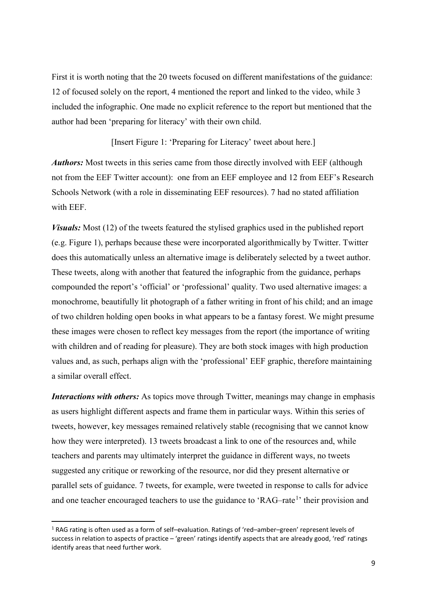First it is worth noting that the 20 tweets focused on different manifestations of the guidance: 12 of focused solely on the report, 4 mentioned the report and linked to the video, while 3 included the infographic. One made no explicit reference to the report but mentioned that the author had been 'preparing for literacy' with their own child.

[Insert Figure 1: 'Preparing for Literacy' tweet about here.]

*Authors:* Most tweets in this series came from those directly involved with EEF (although not from the EEF Twitter account): one from an EEF employee and 12 from EEF's Research Schools Network (with a role in disseminating EEF resources). 7 had no stated affiliation with EEF.

*Visuals:* Most (12) of the tweets featured the stylised graphics used in the published report (e.g. Figure 1), perhaps because these were incorporated algorithmically by Twitter. Twitter does this automatically unless an alternative image is deliberately selected by a tweet author. These tweets, along with another that featured the infographic from the guidance, perhaps compounded the report's 'official' or 'professional' quality. Two used alternative images: a monochrome, beautifully lit photograph of a father writing in front of his child; and an image of two children holding open books in what appears to be a fantasy forest. We might presume these images were chosen to reflect key messages from the report (the importance of writing with children and of reading for pleasure). They are both stock images with high production values and, as such, perhaps align with the 'professional' EEF graphic, therefore maintaining a similar overall effect.

*Interactions with others:* As topics move through Twitter, meanings may change in emphasis as users highlight different aspects and frame them in particular ways. Within this series of tweets, however, key messages remained relatively stable (recognising that we cannot know how they were interpreted). 13 tweets broadcast a link to one of the resources and, while teachers and parents may ultimately interpret the guidance in different ways, no tweets suggested any critique or reworking of the resource, nor did they present alternative or parallel sets of guidance. 7 tweets, for example, were tweeted in response to calls for advice and one teacher encouraged teachers to use the guidance to 'RAG-rate<sup>[1](#page-8-0)</sup>' their provision and

<span id="page-8-0"></span> <sup>1</sup> RAG rating is often used as a form of self–evaluation. Ratings of 'red–amber–green' represent levels of success in relation to aspects of practice – 'green' ratings identify aspects that are already good, 'red' ratings identify areas that need further work.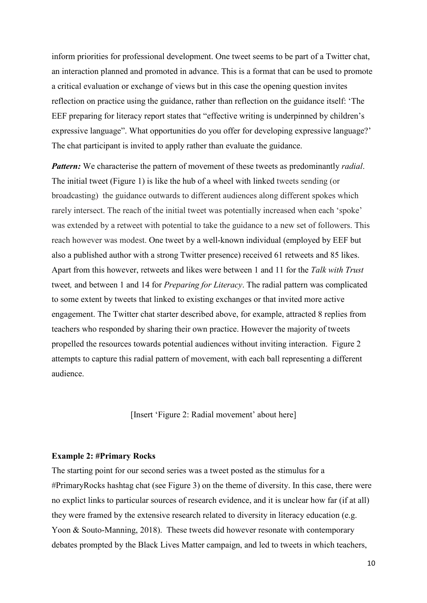inform priorities for professional development. One tweet seems to be part of a Twitter chat, an interaction planned and promoted in advance. This is a format that can be used to promote a critical evaluation or exchange of views but in this case the opening question invites reflection on practice using the guidance, rather than reflection on the guidance itself: 'The EEF preparing for literacy report states that "effective writing is underpinned by children's expressive language". What opportunities do you offer for developing expressive language?' The chat participant is invited to apply rather than evaluate the guidance.

*Pattern:* We characterise the pattern of movement of these tweets as predominantly *radial*. The initial tweet (Figure 1) is like the hub of a wheel with linked tweets sending (or broadcasting) the guidance outwards to different audiences along different spokes which rarely intersect. The reach of the initial tweet was potentially increased when each 'spoke' was extended by a retweet with potential to take the guidance to a new set of followers. This reach however was modest. One tweet by a well-known individual (employed by EEF but also a published author with a strong Twitter presence) received 61 retweets and 85 likes. Apart from this however, retweets and likes were between 1 and 11 for the *Talk with Trust* tweet*,* and between 1 and 14 for *Preparing for Literacy*. The radial pattern was complicated to some extent by tweets that linked to existing exchanges or that invited more active engagement. The Twitter chat starter described above, for example, attracted 8 replies from teachers who responded by sharing their own practice. However the majority of tweets propelled the resources towards potential audiences without inviting interaction. Figure 2 attempts to capture this radial pattern of movement, with each ball representing a different audience.

[Insert 'Figure 2: Radial movement' about here]

#### **Example 2: #Primary Rocks**

The starting point for our second series was a tweet posted as the stimulus for a #PrimaryRocks hashtag chat (see Figure 3) on the theme of diversity. In this case, there were no explict links to particular sources of research evidence, and it is unclear how far (if at all) they were framed by the extensive research related to diversity in literacy education (e.g. Yoon & Souto-Manning, 2018). These tweets did however resonate with contemporary debates prompted by the Black Lives Matter campaign, and led to tweets in which teachers,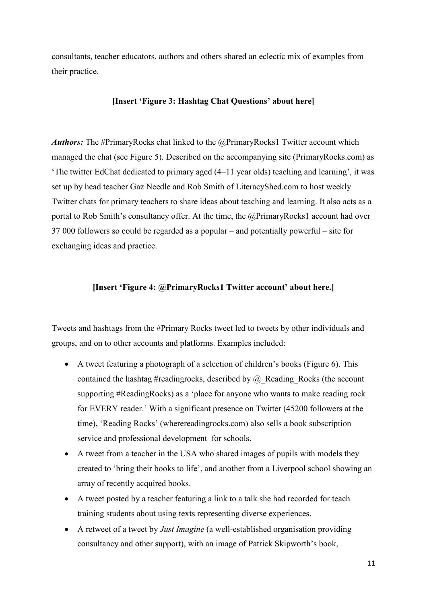consultants, teacher educators, authors and others shared an eclectic mix of examples from their practice.

## **[Insert 'Figure 3: Hashtag Chat Questions' about here]**

*Authors:* The #PrimaryRocks chat linked to the @PrimaryRocks1 Twitter account which managed the chat (see Figure 5). Described on the accompanying site (PrimaryRocks.com) as 'The twitter EdChat dedicated to primary aged (4–11 year olds) teaching and learning', it was set up by head teacher Gaz Needle and Rob Smith of LiteracyShed.com to host weekly Twitter chats for primary teachers to share ideas about teaching and learning. It also acts as a portal to Rob Smith's consultancy offer. At the time, the @PrimaryRocks1 account had over 37 000 followers so could be regarded as a popular – and potentially powerful – site for exchanging ideas and practice.

## **[Insert 'Figure 4: @PrimaryRocks1 Twitter account' about here.]**

Tweets and hashtags from the #Primary Rocks tweet led to tweets by other individuals and groups, and on to other accounts and platforms. Examples included:

- A tweet featuring a photograph of a selection of children's books (Figure 6). This contained the hashtag #readingrocks, described by  $\omega$  Reading Rocks (the account supporting #ReadingRocks) as a 'place for anyone who wants to make reading rock for EVERY reader.' With a significant presence on Twitter (45200 followers at the time), 'Reading Rocks' (wherereadingrocks.com) also sells a book subscription service and professional development for schools.
- A tweet from a teacher in the USA who shared images of pupils with models they created to 'bring their books to life', and another from a Liverpool school showing an array of recently acquired books.
- A tweet posted by a teacher featuring a link to a talk she had recorded for teach training students about using texts representing diverse experiences.
- A retweet of a tweet by *Just Imagine* (a well-established organisation providing consultancy and other support), with an image of Patrick Skipworth's book,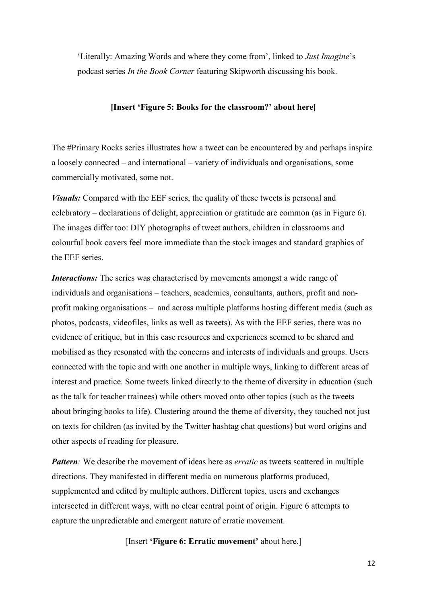'Literally: Amazing Words and where they come from', linked to *Just Imagine*'s podcast series *In the Book Corner* featuring Skipworth discussing his book.

## **[Insert 'Figure 5: Books for the classroom?' about here]**

The #Primary Rocks series illustrates how a tweet can be encountered by and perhaps inspire a loosely connected – and international – variety of individuals and organisations, some commercially motivated, some not.

*Visuals:* Compared with the EEF series, the quality of these tweets is personal and celebratory – declarations of delight, appreciation or gratitude are common (as in Figure 6). The images differ too: DIY photographs of tweet authors, children in classrooms and colourful book covers feel more immediate than the stock images and standard graphics of the EEF series.

*Interactions:* The series was characterised by movements amongst a wide range of individuals and organisations – teachers, academics, consultants, authors, profit and nonprofit making organisations – and across multiple platforms hosting different media (such as photos, podcasts, videofiles, links as well as tweets). As with the EEF series, there was no evidence of critique, but in this case resources and experiences seemed to be shared and mobilised as they resonated with the concerns and interests of individuals and groups. Users connected with the topic and with one another in multiple ways, linking to different areas of interest and practice. Some tweets linked directly to the theme of diversity in education (such as the talk for teacher trainees) while others moved onto other topics (such as the tweets about bringing books to life). Clustering around the theme of diversity, they touched not just on texts for children (as invited by the Twitter hashtag chat questions) but word origins and other aspects of reading for pleasure.

*Pattern*: We describe the movement of ideas here as *erratic* as tweets scattered in multiple directions. They manifested in different media on numerous platforms produced, supplemented and edited by multiple authors. Different topics*,* users and exchanges intersected in different ways, with no clear central point of origin. Figure 6 attempts to capture the unpredictable and emergent nature of erratic movement.

[Insert **'Figure 6: Erratic movement'** about here.]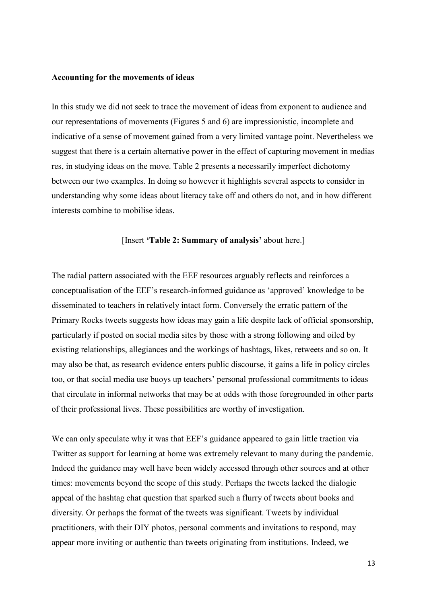## **Accounting for the movements of ideas**

In this study we did not seek to trace the movement of ideas from exponent to audience and our representations of movements (Figures 5 and 6) are impressionistic, incomplete and indicative of a sense of movement gained from a very limited vantage point. Nevertheless we suggest that there is a certain alternative power in the effect of capturing movement in medias res, in studying ideas on the move. Table 2 presents a necessarily imperfect dichotomy between our two examples. In doing so however it highlights several aspects to consider in understanding why some ideas about literacy take off and others do not, and in how different interests combine to mobilise ideas.

## [Insert **'Table 2: Summary of analysis'** about here.]

The radial pattern associated with the EEF resources arguably reflects and reinforces a conceptualisation of the EEF's research-informed guidance as 'approved' knowledge to be disseminated to teachers in relatively intact form. Conversely the erratic pattern of the Primary Rocks tweets suggests how ideas may gain a life despite lack of official sponsorship, particularly if posted on social media sites by those with a strong following and oiled by existing relationships, allegiances and the workings of hashtags, likes, retweets and so on. It may also be that, as research evidence enters public discourse, it gains a life in policy circles too, or that social media use buoys up teachers' personal professional commitments to ideas that circulate in informal networks that may be at odds with those foregrounded in other parts of their professional lives. These possibilities are worthy of investigation.

We can only speculate why it was that EEF's guidance appeared to gain little traction via Twitter as support for learning at home was extremely relevant to many during the pandemic. Indeed the guidance may well have been widely accessed through other sources and at other times: movements beyond the scope of this study. Perhaps the tweets lacked the dialogic appeal of the hashtag chat question that sparked such a flurry of tweets about books and diversity. Or perhaps the format of the tweets was significant. Tweets by individual practitioners, with their DIY photos, personal comments and invitations to respond, may appear more inviting or authentic than tweets originating from institutions. Indeed, we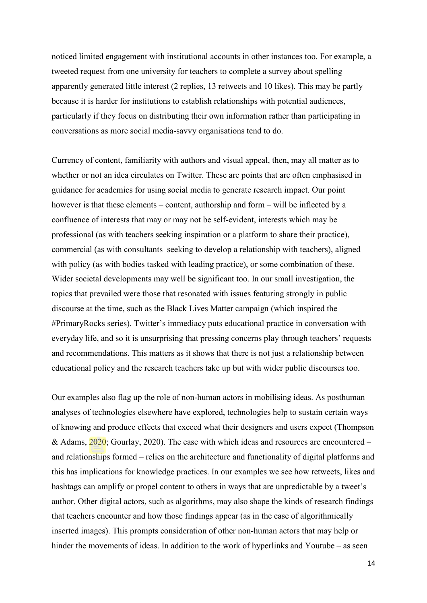noticed limited engagement with institutional accounts in other instances too. For example, a tweeted request from one university for teachers to complete a survey about spelling apparently generated little interest (2 replies, 13 retweets and 10 likes). This may be partly because it is harder for institutions to establish relationships with potential audiences, particularly if they focus on distributing their own information rather than participating in conversations as more social media-savvy organisations tend to do.

Currency of content, familiarity with authors and visual appeal, then, may all matter as to whether or not an idea circulates on Twitter. These are points that are often emphasised in guidance for academics for using social media to generate research impact. Our point however is that these elements – content, authorship and form – will be inflected by a confluence of interests that may or may not be self-evident, interests which may be professional (as with teachers seeking inspiration or a platform to share their practice), commercial (as with consultants seeking to develop a relationship with teachers), aligned with policy (as with bodies tasked with leading practice), or some combination of these. Wider societal developments may well be significant too. In our small investigation, the topics that prevailed were those that resonated with issues featuring strongly in public discourse at the time, such as the Black Lives Matter campaign (which inspired the #PrimaryRocks series). Twitter's immediacy puts educational practice in conversation with everyday life, and so it is unsurprising that pressing concerns play through teachers' requests and recommendations. This matters as it shows that there is not just a relationship between educational policy and the research teachers take up but with wider public discourses too.

Our examples also flag up the role of non-human actors in mobilising ideas. As posthuman analyses of technologies elsewhere have explored, technologies help to sustain certain ways of knowing and produce effects that exceed what their designers and users expect (Thompson & Adams, 2020; Gourlay, 2020). The ease with which ideas and resources are encountered – and relationships formed – relies on the architecture and functionality of digital platforms and this has implications for knowledge practices. In our examples we see how retweets, likes and hashtags can amplify or propel content to others in ways that are unpredictable by a tweet's author. Other digital actors, such as algorithms, may also shape the kinds of research findings that teachers encounter and how those findings appear (as in the case of algorithmically inserted images). This prompts consideration of other non-human actors that may help or hinder the movements of ideas. In addition to the work of hyperlinks and Youtube – as seen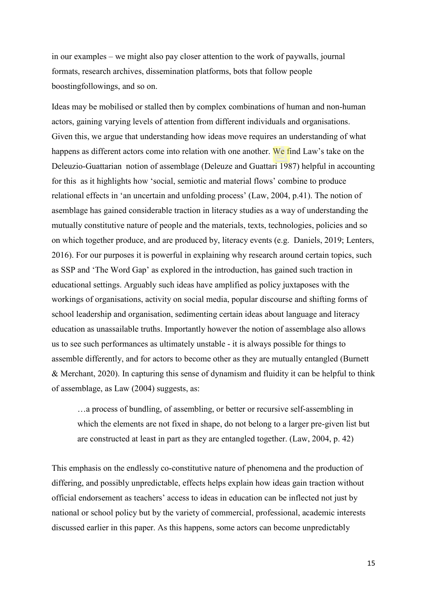in our examples – we might also pay closer attention to the work of paywalls, journal formats, research archives, dissemination platforms, bots that follow people boostingfollowings, and so on.

Ideas may be mobilised or stalled then by complex combinations of human and non-human actors, gaining varying levels of attention from different individuals and organisations. Given this, we argue that understanding how ideas move requires an understanding of what happens as different actors come into relation with one another. We find Law's take on the Deleuzio-Guattarian notion of assemblage (Deleuze and Guattari 1987) helpful in accounting for this as it highlights how 'social, semiotic and material flows' combine to produce relational effects in 'an uncertain and unfolding process' (Law, 2004, p.41). The notion of asemblage has gained considerable traction in literacy studies as a way of understanding the mutually constitutive nature of people and the materials, texts, technologies, policies and so on which together produce, and are produced by, literacy events (e.g. Daniels, 2019; Lenters, 2016). For our purposes it is powerful in explaining why research around certain topics, such as SSP and 'The Word Gap' as explored in the introduction, has gained such traction in educational settings. Arguably such ideas have amplified as policy juxtaposes with the workings of organisations, activity on social media, popular discourse and shifting forms of school leadership and organisation, sedimenting certain ideas about language and literacy education as unassailable truths. Importantly however the notion of assemblage also allows us to see such performances as ultimately unstable - it is always possible for things to assemble differently, and for actors to become other as they are mutually entangled (Burnett & Merchant, 2020). In capturing this sense of dynamism and fluidity it can be helpful to think of assemblage, as Law (2004) suggests, as:

…a process of bundling, of assembling, or better or recursive self-assembling in which the elements are not fixed in shape, do not belong to a larger pre-given list but are constructed at least in part as they are entangled together. (Law, 2004, p. 42)

This emphasis on the endlessly co-constitutive nature of phenomena and the production of differing, and possibly unpredictable, effects helps explain how ideas gain traction without official endorsement as teachers' access to ideas in education can be inflected not just by national or school policy but by the variety of commercial, professional, academic interests discussed earlier in this paper. As this happens, some actors can become unpredictably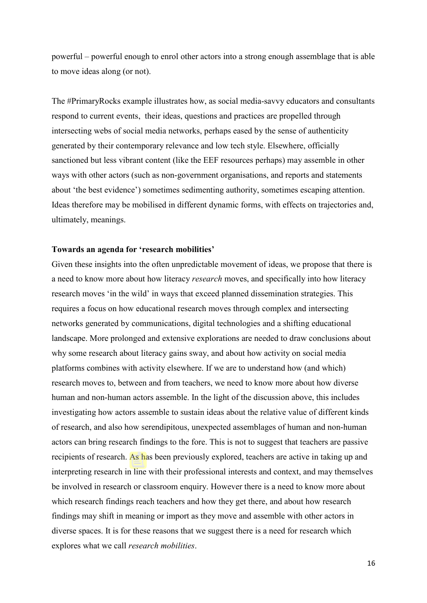powerful – powerful enough to enrol other actors into a strong enough assemblage that is able to move ideas along (or not).

The #PrimaryRocks example illustrates how, as social media-savvy educators and consultants respond to current events, their ideas, questions and practices are propelled through intersecting webs of social media networks, perhaps eased by the sense of authenticity generated by their contemporary relevance and low tech style. Elsewhere, officially sanctioned but less vibrant content (like the EEF resources perhaps) may assemble in other ways with other actors (such as non-government organisations, and reports and statements about 'the best evidence') sometimes sedimenting authority, sometimes escaping attention. Ideas therefore may be mobilised in different dynamic forms, with effects on trajectories and, ultimately, meanings.

## **Towards an agenda for 'research mobilities'**

Given these insights into the often unpredictable movement of ideas, we propose that there is a need to know more about how literacy *research* moves, and specifically into how literacy research moves 'in the wild' in ways that exceed planned dissemination strategies. This requires a focus on how educational research moves through complex and intersecting networks generated by communications, digital technologies and a shifting educational landscape. More prolonged and extensive explorations are needed to draw conclusions about why some research about literacy gains sway, and about how activity on social media platforms combines with activity elsewhere. If we are to understand how (and which) research moves to, between and from teachers, we need to know more about how diverse human and non-human actors assemble. In the light of the discussion above, this includes investigating how actors assemble to sustain ideas about the relative value of different kinds of research, and also how serendipitous, unexpected assemblages of human and non-human actors can bring research findings to the fore. This is not to suggest that teachers are passive recipients of research. As has been previously explored, teachers are active in taking up and interpreting research in line with their professional interests and context, and may themselves be involved in research or classroom enquiry. However there is a need to know more about which research findings reach teachers and how they get there, and about how research findings may shift in meaning or import as they move and assemble with other actors in diverse spaces. It is for these reasons that we suggest there is a need for research which explores what we call *research mobilities*.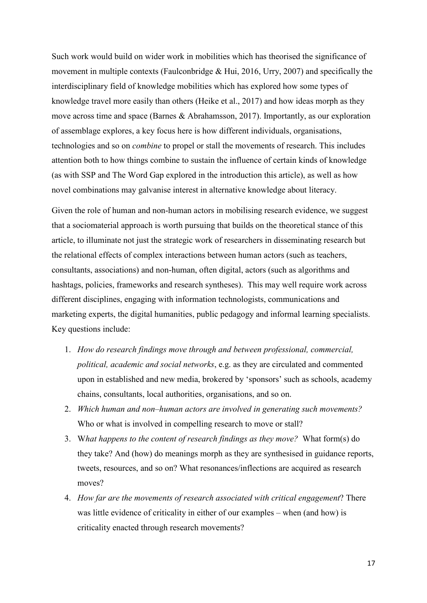Such work would build on wider work in mobilities which has theorised the significance of movement in multiple contexts (Faulconbridge & Hui, 2016, Urry, 2007) and specifically the interdisciplinary field of knowledge mobilities which has explored how some types of knowledge travel more easily than others (Heike et al., 2017) and how ideas morph as they move across time and space (Barnes & Abrahamsson, 2017). Importantly, as our exploration of assemblage explores, a key focus here is how different individuals, organisations, technologies and so on *combine* to propel or stall the movements of research. This includes attention both to how things combine to sustain the influence of certain kinds of knowledge (as with SSP and The Word Gap explored in the introduction this article), as well as how novel combinations may galvanise interest in alternative knowledge about literacy.

Given the role of human and non-human actors in mobilising research evidence, we suggest that a sociomaterial approach is worth pursuing that builds on the theoretical stance of this article, to illuminate not just the strategic work of researchers in disseminating research but the relational effects of complex interactions between human actors (such as teachers, consultants, associations) and non-human, often digital, actors (such as algorithms and hashtags, policies, frameworks and research syntheses). This may well require work across different disciplines, engaging with information technologists, communications and marketing experts, the digital humanities, public pedagogy and informal learning specialists. Key questions include:

- 1. *How do research findings move through and between professional, commercial, political, academic and social networks*, e.g. as they are circulated and commented upon in established and new media, brokered by 'sponsors' such as schools, academy chains, consultants, local authorities, organisations, and so on.
- 2. *Which human and non–human actors are involved in generating such movements?* Who or what is involved in compelling research to move or stall?
- 3. W*hat happens to the content of research findings as they move?* What form(s) do they take? And (how) do meanings morph as they are synthesised in guidance reports, tweets, resources, and so on? What resonances/inflections are acquired as research moves?
- 4. *How far are the movements of research associated with critical engagement*? There was little evidence of criticality in either of our examples – when (and how) is criticality enacted through research movements?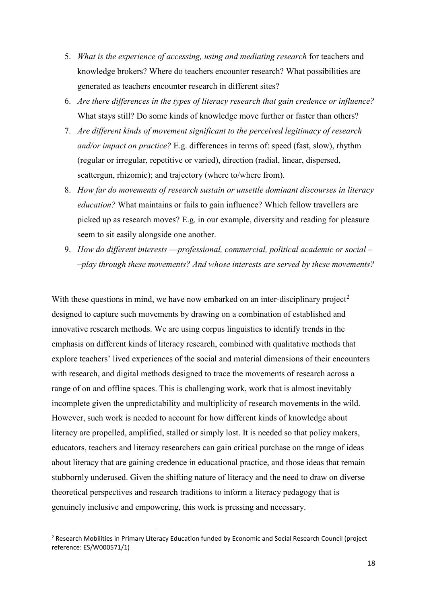- 5. *What is the experience of accessing, using and mediating research* for teachers and knowledge brokers? Where do teachers encounter research? What possibilities are generated as teachers encounter research in different sites?
- 6. *Are there differences in the types of literacy research that gain credence or influence?*  What stays still? Do some kinds of knowledge move further or faster than others?
- 7. *Are different kinds of movement significant to the perceived legitimacy of research and/or impact on practice?* E.g. differences in terms of: speed (fast, slow), rhythm (regular or irregular, repetitive or varied), direction (radial, linear, dispersed, scattergun, rhizomic); and trajectory (where to/where from).
- 8. *How far do movements of research sustain or unsettle dominant discourses in literacy education?* What maintains or fails to gain influence? Which fellow travellers are picked up as research moves? E.g. in our example, diversity and reading for pleasure seem to sit easily alongside one another.
- 9. *How do different interests ––professional, commercial, political academic or social – –play through these movements? And whose interests are served by these movements?*

With these questions in mind, we have now embarked on an inter-disciplinary project<sup>[2](#page-17-0)</sup> designed to capture such movements by drawing on a combination of established and innovative research methods. We are using corpus linguistics to identify trends in the emphasis on different kinds of literacy research, combined with qualitative methods that explore teachers' lived experiences of the social and material dimensions of their encounters with research, and digital methods designed to trace the movements of research across a range of on and offline spaces. This is challenging work, work that is almost inevitably incomplete given the unpredictability and multiplicity of research movements in the wild. However, such work is needed to account for how different kinds of knowledge about literacy are propelled, amplified, stalled or simply lost. It is needed so that policy makers, educators, teachers and literacy researchers can gain critical purchase on the range of ideas about literacy that are gaining credence in educational practice, and those ideas that remain stubbornly underused. Given the shifting nature of literacy and the need to draw on diverse theoretical perspectives and research traditions to inform a literacy pedagogy that is genuinely inclusive and empowering, this work is pressing and necessary.

<span id="page-17-0"></span><sup>&</sup>lt;sup>2</sup> Research Mobilities in Primary Literacy Education funded by Economic and Social Research Council (project reference: ES/W000571/1)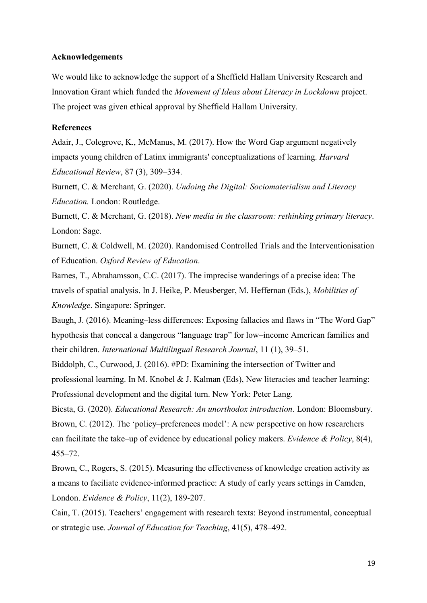## **Acknowledgements**

We would like to acknowledge the support of a Sheffield Hallam University Research and Innovation Grant which funded the *Movement of Ideas about Literacy in Lockdown* project. The project was given ethical approval by Sheffield Hallam University.

## **References**

Adair, J., Colegrove, K., McManus, M. (2017). How the Word Gap [argument negatively](https://shu.primo.exlibrisgroup.com/discovery/fulldisplay?docid=cdi_proquest_journals_1942146173&context=PC&vid=44SHU_INST:44SHU_VU1&lang=en&search_scope=MyInst_and_CI&adaptor=Primo%20Central&tab=Everything&query=any,contains,word%20gap&facet=tlevel,include,peer_reviewed&offset=0)  [impacts young children of Latinx immigrants' conceptualizations of learning.](https://shu.primo.exlibrisgroup.com/discovery/fulldisplay?docid=cdi_proquest_journals_1942146173&context=PC&vid=44SHU_INST:44SHU_VU1&lang=en&search_scope=MyInst_and_CI&adaptor=Primo%20Central&tab=Everything&query=any,contains,word%20gap&facet=tlevel,include,peer_reviewed&offset=0) *Harvard Educational Review*, 87 (3), 309–334.

Burnett, C. & Merchant, G. (2020). *Undoing the Digital: Sociomaterialism and Literacy Education.* London: Routledge.

Burnett, C. & Merchant, G. (2018). *New media in the classroom: rethinking primary literacy*. London: Sage.

Burnett, C. & Coldwell, M. (2020). Randomised Controlled Trials and the Interventionisation of Education. *Oxford Review of Education*.

Barnes, T., Abrahamsson, C.C. (2017). The imprecise wanderings of a precise idea: The travels of spatial analysis. In J. Heike, P. Meusberger, M. Heffernan (Eds.), *Mobilities of Knowledge*. Singapore: Springer.

Baugh, J. (2016). [Meaning–less differences: Exposing fallacies and flaws in "The](https://shu.primo.exlibrisgroup.com/discovery/fulldisplay?docid=cdi_crossref_primary_10_1080_19313152_2016_1258189&context=PC&vid=44SHU_INST:44SHU_VU1&lang=en&search_scope=MyInst_and_CI&adaptor=Primo%20Central&tab=Everything&query=any,contains,word%20gap&facet=tlevel,include,peer_reviewed&offset=0) Word Gap" [hypothesis that conceal a dangerous "language trap" for low–income American families and](https://shu.primo.exlibrisgroup.com/discovery/fulldisplay?docid=cdi_crossref_primary_10_1080_19313152_2016_1258189&context=PC&vid=44SHU_INST:44SHU_VU1&lang=en&search_scope=MyInst_and_CI&adaptor=Primo%20Central&tab=Everything&query=any,contains,word%20gap&facet=tlevel,include,peer_reviewed&offset=0)  [their children.](https://shu.primo.exlibrisgroup.com/discovery/fulldisplay?docid=cdi_crossref_primary_10_1080_19313152_2016_1258189&context=PC&vid=44SHU_INST:44SHU_VU1&lang=en&search_scope=MyInst_and_CI&adaptor=Primo%20Central&tab=Everything&query=any,contains,word%20gap&facet=tlevel,include,peer_reviewed&offset=0) *International Multilingual Research Journal*, 11 (1), 39–51.

Biddolph, C., Curwood, J. (2016). #PD: Examining the intersection of Twitter and professional learning. In M. Knobel & J. Kalman (Eds), New literacies and teacher learning: Professional development and the digital turn. New York: Peter Lang.

Biesta, G. (2020). *Educational Research: An unorthodox introduction*. London: Bloomsbury. Brown, C. (2012). The 'policy–preferences model': A new perspective on how researchers can facilitate the take–up of evidence by educational policy makers. *Evidence & Policy*, 8(4), 455–72.

Brown, C., Rogers, S. (2015). Measuring the effectiveness of knowledge creation activity as a means to faciliate evidence-informed practice: A study of early years settings in Camden, London. *Evidence & Policy*, 11(2), 189-207.

Cain, T. (2015). Teachers' engagement with research texts: Beyond instrumental, conceptual or strategic use. *Journal of Education for Teaching*, 41(5), 478–492.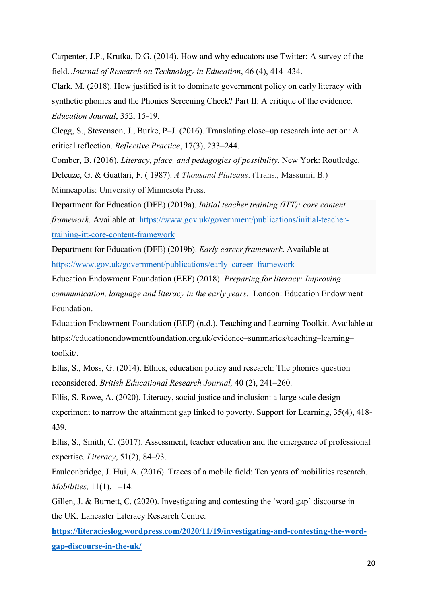Carpenter, J.P., Krutka, D.G. (2014). [How and why educators use Twitter: A survey of the](https://shu.primo.exlibrisgroup.com/discovery/fulldisplay?docid=cdi_proquest_journals_1632517880&context=PC&vid=44SHU_INST:44SHU_VU1&lang=en&search_scope=MyInst_and_CI&adaptor=Primo%20Central&tab=Everything&query=any,contains,jeffrey%20teacher%20social%20media&mode=Basic)  [field.](https://shu.primo.exlibrisgroup.com/discovery/fulldisplay?docid=cdi_proquest_journals_1632517880&context=PC&vid=44SHU_INST:44SHU_VU1&lang=en&search_scope=MyInst_and_CI&adaptor=Primo%20Central&tab=Everything&query=any,contains,jeffrey%20teacher%20social%20media&mode=Basic) *Journal of Research on Technology in Education*, 46 (4), 414–434.

Clark, M. (2018). [How justified is it to dominate government policy on early literacy with](https://foundationforlearningandliteracy.info/wp-content/uploads/2020/07/Education-Journal-No.-352-16.10.18-Phonics-article.pdf)  [synthetic phonics and the Phonics Screening Check? Part II: A critique of the evidence.](https://foundationforlearningandliteracy.info/wp-content/uploads/2020/07/Education-Journal-No.-352-16.10.18-Phonics-article.pdf) *Education Journal*, 352, 15-19.

Clegg, S., Stevenson, J., Burke, P–J. (2016). Translating close–up research into action: A critical reflection. *Reflective Practice*, 17(3), 233–244.

Comber, B. (2016), *Literacy, [place, and pedagogies of possibility](http://researchoutputs.unisa.edu.au/11541.2/117555)*. New York: Routledge. Deleuze, G. & Guattari, F. ( 1987). *A Thousand Plateaus*. (Trans., Massumi, B.)

Minneapolis: University of Minnesota Press.

Department for Education (DFE) (2019a). *Initial teacher training (ITT): core content framework.* Available at: [https://www.gov.uk/government/publications/initial-teacher](https://www.gov.uk/government/publications/initial-teacher-training-itt-core-content-framework)[training-itt-core-content-framework](https://www.gov.uk/government/publications/initial-teacher-training-itt-core-content-framework)

Department for Education (DFE) (2019b). *Early career framework*. Available at [https://www.gov.uk/government/publications/early–career–framework](https://www.gov.uk/government/publications/early-career-framework)

Education Endowment Foundation (EEF) (2018). *Preparing for literacy: Improving communication, language and literacy in the early years*. London: Education Endowment Foundation.

Education Endowment Foundation (EEF) (n.d.). Teaching and Learning Toolkit. Available at [https://educationendowmentfoundation.org.uk/evidence–summaries/teaching–learning–](https://educationendowmentfoundation.org.uk/evidence-summaries/teaching-learning-toolkit/) [toolkit/.](https://educationendowmentfoundation.org.uk/evidence-summaries/teaching-learning-toolkit/)

Ellis, S., Moss, G. (2014). [Ethics, education policy and research: The phonics question](https://shu.primo.exlibrisgroup.com/discovery/fulldisplay?docid=cdi_crossref_primary_10_1002_berj_3039&context=PC&vid=44SHU_INST:44SHU_VU1&lang=en&search_scope=MyInst_and_CI&adaptor=Primo%20Central&tab=Everything&query=any%2Ccontains%2Cellis%20moss%20phonics&offset=0)  [reconsidered.](https://shu.primo.exlibrisgroup.com/discovery/fulldisplay?docid=cdi_crossref_primary_10_1002_berj_3039&context=PC&vid=44SHU_INST:44SHU_VU1&lang=en&search_scope=MyInst_and_CI&adaptor=Primo%20Central&tab=Everything&query=any%2Ccontains%2Cellis%20moss%20phonics&offset=0) *British Educational Research Journal,* 40 (2), 241–260.

Ellis, S. Rowe, A. (2020). Literacy, social justice and inclusion: a large scale design experiment to narrow the attainment gap linked to poverty. Support for Learning, 35(4), 418- 439.

Ellis, S., Smith, C. (2017). Assessment, teacher education and the emergence of professional expertise. *Literacy*, 51(2), 84–93.

Faulconbridge, J. Hui, A. (2016). Traces of a mobile field: Ten years of mobilities research. *Mobilities,* 11(1), 1–14.

Gillen, J. & Burnett, C. (2020). Investigating and contesting the 'word gap' discourse in the UK. Lancaster Literacy Research Centre.

**[https://literacieslog.wordpress.com/2020/11/19/investigating-and-contesting-the-word](https://literacieslog.wordpress.com/2020/11/19/investigating-and-contesting-the-word-gap-discourse-in-the-uk/)[gap-discourse-in-the-uk/](https://literacieslog.wordpress.com/2020/11/19/investigating-and-contesting-the-word-gap-discourse-in-the-uk/)**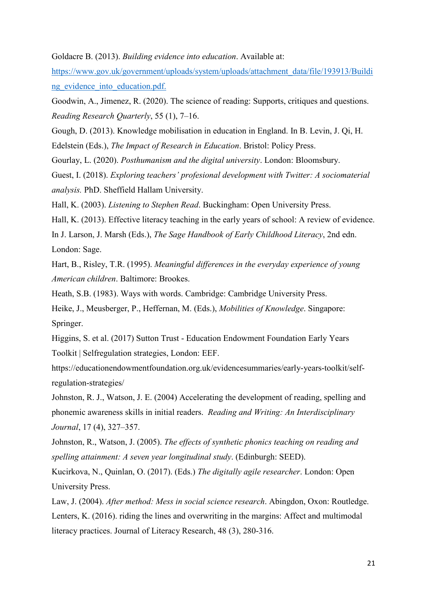## Goldacre B. (2013). *Building evidence into education*. Available at:

[https://www.gov.uk/government/uploads/system/uploads/attachment\\_data/file/193913/Buildi](https://www.gov.uk/government/uploads/system/uploads/attachment_data/file/193913/Building_evidence_into_education.pdf) ng evidence into education.pdf.

Goodwin, A., Jimenez, R. (2020). The science of reading: Supports, critiques and questions. *Reading Research Quarterly*, 55 (1), 7–16.

Gough, D. (2013). Knowledge mobilisation in education in England. In B. Levin, J. Qi, H.

Edelstein (Eds.), *The Impact of Research in Education*. Bristol: Policy Press.

Gourlay, L. (2020). *Posthumanism and the digital university*. London: Bloomsbury.

Guest, I. (2018). *Exploring teachers' profesional development with Twitter: A sociomaterial analysis.* PhD. Sheffield Hallam University.

Hall, K. (2003). *Listening to Stephen Read*. Buckingham: Open University Press.

Hall, K. (2013). Effective literacy teaching in the early years of school: A review of evidence.

In J. Larson, J. Marsh (Eds.), *The Sage Handbook of Early Childhood Literacy*, 2nd edn. London: Sage.

Hart, B., Risley, T.R. (1995). *Meaningful differences in the everyday experience of young American children*. Baltimore: Brookes.

Heath, S.B. (1983). Ways with words. Cambridge: Cambridge University Press.

Heike, J., Meusberger, P., Heffernan, M. (Eds.), *Mobilities of Knowledge*. Singapore: Springer.

Higgins, S. et al. (2017) Sutton Trust - Education Endowment Foundation Early Years Toolkit | Selfregulation strategies, London: EEF.

https://educationendowmentfoundation.org.uk/evidencesummaries/early-years-toolkit/selfregulation-strategies/

Johnston, R. J., Watson, J. E. (2004) Accelerating the development of reading, spelling and phonemic awareness skills in initial readers. *Reading and Writing: An Interdisciplinary Journal*, 17 (4), 327–357.

Johnston, R., Watson, J. (2005). *The effects of synthetic phonics teaching on reading and spelling attainment: A seven year longitudinal study*. (Edinburgh: SEED).

Kucirkova, N., Quinlan, O. (2017). (Eds.) *The digitally agile researcher*. London: Open University Press.

Law, J. (2004). *After method: Mess in social science research*. Abingdon, Oxon: Routledge. Lenters, K. (2016). [riding the lines and overwriting in the margins: Affect and multimodal](https://shu.primo.exlibrisgroup.com/discovery/fulldisplay?docid=cdi_crossref_primary_10_1177_1086296X16658982&context=PC&vid=44SHU_INST:44SHU_VU1&lang=en&search_scope=MyInst_and_CI&adaptor=Primo%20Central&tab=Everything&query=any%2Ccontains%2Clenters%20assemblage&mode=Basic)  [literacy practices.](https://shu.primo.exlibrisgroup.com/discovery/fulldisplay?docid=cdi_crossref_primary_10_1177_1086296X16658982&context=PC&vid=44SHU_INST:44SHU_VU1&lang=en&search_scope=MyInst_and_CI&adaptor=Primo%20Central&tab=Everything&query=any%2Ccontains%2Clenters%20assemblage&mode=Basic) Journal of Literacy Research, 48 (3), 280-316.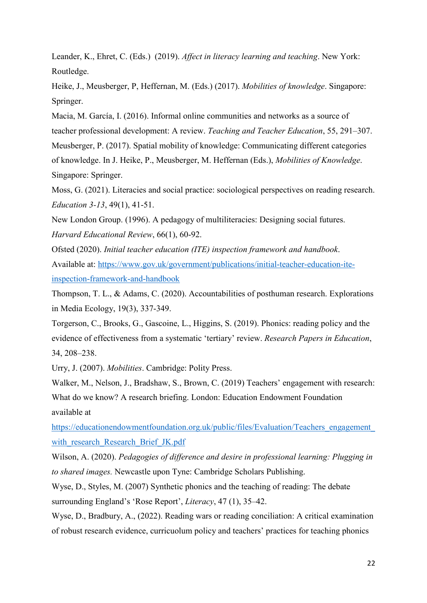Leander, K., Ehret, C. (Eds.) (2019). *Affect in literacy learning and teaching*. New York: Routledge.

Heike, J., Meusberger, P, Heffernan, M. (Eds.) (2017). *Mobilities of knowledge*. Singapore: Springer.

Macia, M. García, I. (2016). Informal online communities and networks as a source of teacher professional development: A review. *Teaching and Teacher Education*, 55, 291–307. Meusberger, P. (2017). Spatial mobility of knowledge: Communicating different categories of knowledge. In J. Heike, P., Meusberger, M. Heffernan (Eds.), *Mobilities of Knowledge*. Singapore: Springer.

Moss, G. (2021). Literacies and social practice: sociological perspectives on reading research. *Education 3-13*, 49(1), 41-51.

New London Group. (1996). A pedagogy of multiliteracies: Designing social futures. *Harvard Educational Review*, 66(1), 60-92.

Ofsted (2020). *Initial teacher education (ITE) inspection framework and handbook*. Available at: [https://www.gov.uk/government/publications/initial-teacher-education-ite](https://www.gov.uk/government/publications/initial-teacher-education-ite-inspection-framework-and-handbook)[inspection-framework-and-handbook](https://www.gov.uk/government/publications/initial-teacher-education-ite-inspection-framework-and-handbook)

Thompson, T. L., & Adams, C. (2020). Accountabilities of posthuman research. Explorations in Media Ecology, 19(3), 337-349.

Torgerson, C., Brooks, G., Gascoine, L., Higgins, S. (2019). Phonics: reading policy and the evidence of effectiveness from a systematic 'tertiary' review. *Research Papers in Education*, 34, 208–238.

Urry, J. (2007). *Mobilities*. Cambridge: Polity Press.

Walker, M., Nelson, J., Bradshaw, S., Brown, C. (2019) Teachers' engagement with research: What do we know? A research briefing. London: Education Endowment Foundation available at

[https://educationendowmentfoundation.org.uk/public/files/Evaluation/Teachers\\_engagement\\_](https://educationendowmentfoundation.org.uk/public/files/Evaluation/Teachers_engagement_with_research_Research_Brief_JK.pdf) with research Research Brief JK.pdf

Wilson, A. (2020). *Pedagogies of difference and desire in professional learning: Plugging in to shared images.* Newcastle upon Tyne: Cambridge Scholars Publishing.

Wyse, D., Styles, M. (2007) Synthetic phonics and the teaching of reading: The debate surrounding England's 'Rose Report', *Literacy*, 47 (1), 35–42.

Wyse, D., Bradbury, A., (2022). Reading wars or reading conciliation: A critical examination of robust research evidence, curricuolum policy and teachers' practices for teaching phonics